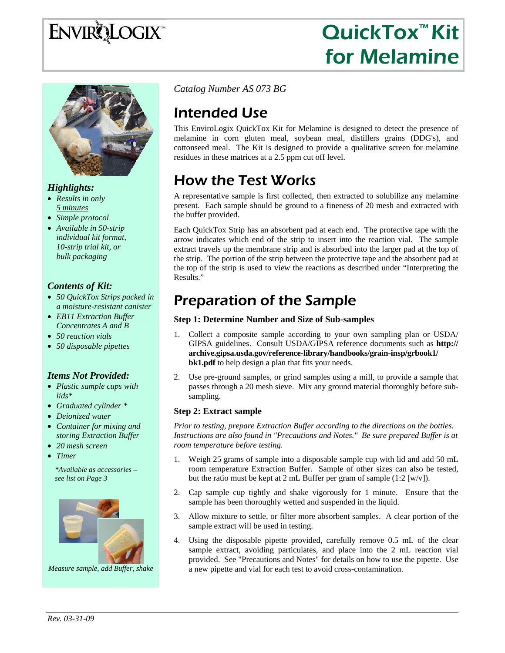# **ENVIRQLOGIX**

# QuickTox™ Kit for Melamine



### *Highlights:*

- *Results in only 5 minutes*
- *Simple protocol*
- *Available in 50-strip individual kit format, 10-strip trial kit, or bulk packaging*

#### *Contents of Kit:*

- *50 QuickTox Strips packed in a moisture-resistant canister*
- *EB11 Extraction Buffer Concentrates A and B*
- *50 reaction vials*
- *50 disposable pipettes*

#### *Items Not Provided:*

- *Plastic sample cups with lids\**
- *Graduated cylinder \**
- *Deionized water*
- *Container for mixing and storing Extraction Buffer*
- *20 mesh screen*
- *Timer*

*\*Available as accessories – see list on Page 3* 



*Measure sample, add Buffer, shake* 

*Catalog Number AS 073 BG*

# Intended Use

This EnviroLogix QuickTox Kit for Melamine is designed to detect the presence of melamine in corn gluten meal, soybean meal, distillers grains (DDG's), and cottonseed meal. The Kit is designed to provide a qualitative screen for melamine residues in these matrices at a 2.5 ppm cut off level.

## How the Test Works

A representative sample is first collected, then extracted to solubilize any melamine present. Each sample should be ground to a fineness of 20 mesh and extracted with the buffer provided.

Each QuickTox Strip has an absorbent pad at each end. The protective tape with the arrow indicates which end of the strip to insert into the reaction vial. The sample extract travels up the membrane strip and is absorbed into the larger pad at the top of the strip. The portion of the strip between the protective tape and the absorbent pad at the top of the strip is used to view the reactions as described under "Interpreting the Results."

### Preparation of the Sample

#### **Step 1: Determine Number and Size of Sub-samples**

- 1. Collect a composite sample according to your own sampling plan or USDA/ GIPSA guidelines. Consult USDA/GIPSA reference documents such as **http:// archive.gipsa.usda.gov/reference-library/handbooks/grain-insp/grbook1/ bk1.pdf** to help design a plan that fits your needs.
- 2. Use pre-ground samples, or grind samples using a mill, to provide a sample that passes through a 20 mesh sieve. Mix any ground material thoroughly before subsampling.

#### **Step 2: Extract sample**

*Prior to testing, prepare Extraction Buffer according to the directions on the bottles. Instructions are also found in "Precautions and Notes." Be sure prepared Buffer is at room temperature before testing.*

- 1. Weigh 25 grams of sample into a disposable sample cup with lid and add 50 mL room temperature Extraction Buffer. Sample of other sizes can also be tested, but the ratio must be kept at 2 mL Buffer per gram of sample  $(1:2 \, \text{[w/v]}).$
- 2. Cap sample cup tightly and shake vigorously for 1 minute. Ensure that the sample has been thoroughly wetted and suspended in the liquid.
- 3. Allow mixture to settle, or filter more absorbent samples. A clear portion of the sample extract will be used in testing.
- 4. Using the disposable pipette provided, carefully remove 0.5 mL of the clear sample extract, avoiding particulates, and place into the 2 mL reaction vial provided. See "Precautions and Notes" for details on how to use the pipette. Use a new pipette and vial for each test to avoid cross-contamination.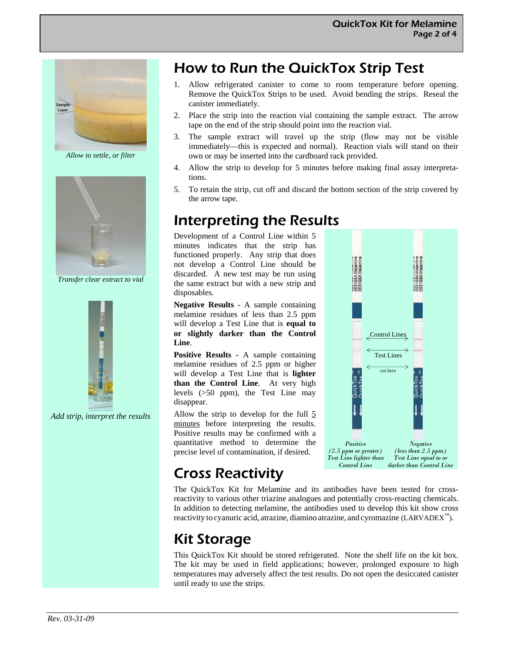

*Allow to settle, or filter* 



*Transfer clear extract to vial* 



*Add strip, interpret the results* 

### How to Run the QuickTox Strip Test

- 1. Allow refrigerated canister to come to room temperature before opening. Remove the QuickTox Strips to be used. Avoid bending the strips. Reseal the canister immediately.
- 2. Place the strip into the reaction vial containing the sample extract. The arrow tape on the end of the strip should point into the reaction vial.
- 3. The sample extract will travel up the strip (flow may not be visible immediately—this is expected and normal). Reaction vials will stand on their own or may be inserted into the cardboard rack provided.
- 4. Allow the strip to develop for 5 minutes before making final assay interpretations.
- 5. To retain the strip, cut off and discard the bottom section of the strip covered by the arrow tape.

### Interpreting the Results

Development of a Control Line within 5 minutes indicates that the strip has functioned properly. Any strip that does not develop a Control Line should be discarded. A new test may be run using the same extract but with a new strip and disposables.

**Negative Results** - A sample containing melamine residues of less than 2.5 ppm will develop a Test Line that is **equal to or slightly darker than the Control Line**.

**Positive Results -** A sample containing melamine residues of 2.5 ppm or higher will develop a Test Line that is **lighter than the Control Line**. At very high levels (>50 ppm), the Test Line may disappear.

Allow the strip to develop for the full  $\frac{5}{9}$ minutes before interpreting the results. Positive results may be confirmed with a quantitative method to determine the precise level of contamination, if desired.



### Cross Reactivity

The QuickTox Kit for Melamine and its antibodies have been tested for crossreactivity to various other triazine analogues and potentially cross-reacting chemicals. In addition to detecting melamine, the antibodies used to develop this kit show cross reactivity to cyanuric acid, atrazine, diamino atrazine, and cyromazine (LARVADEX™).

# Kit Storage

This QuickTox Kit should be stored refrigerated. Note the shelf life on the kit box. The kit may be used in field applications; however, prolonged exposure to high temperatures may adversely affect the test results. Do not open the desiccated canister until ready to use the strips.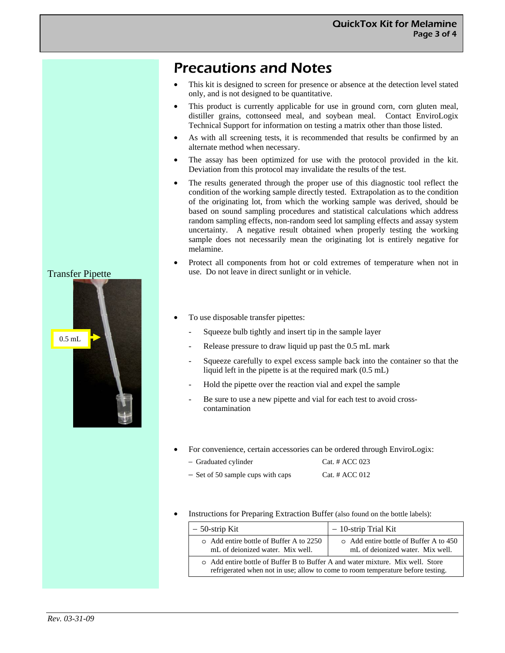### Precautions and Notes

- This kit is designed to screen for presence or absence at the detection level stated only, and is not designed to be quantitative.
- This product is currently applicable for use in ground corn, corn gluten meal, distiller grains, cottonseed meal, and soybean meal. Contact EnviroLogix Technical Support for information on testing a matrix other than those listed.
- As with all screening tests, it is recommended that results be confirmed by an alternate method when necessary.
- The assay has been optimized for use with the protocol provided in the kit. Deviation from this protocol may invalidate the results of the test.
- The results generated through the proper use of this diagnostic tool reflect the condition of the working sample directly tested. Extrapolation as to the condition of the originating lot, from which the working sample was derived, should be based on sound sampling procedures and statistical calculations which address random sampling effects, non-random seed lot sampling effects and assay system uncertainty. A negative result obtained when properly testing the working sample does not necessarily mean the originating lot is entirely negative for melamine.
- Protect all components from hot or cold extremes of temperature when not in use. Do not leave in direct sunlight or in vehicle.
- To use disposable transfer pipettes:
	- Squeeze bulb tightly and insert tip in the sample layer
	- Release pressure to draw liquid up past the 0.5 mL mark
	- Squeeze carefully to expel excess sample back into the container so that the liquid left in the pipette is at the required mark (0.5 mL)
	- Hold the pipette over the reaction vial and expel the sample
	- Be sure to use a new pipette and vial for each test to avoid crosscontamination
- For convenience, certain accessories can be ordered through EnviroLogix:

| - Graduated cylinder              | Cat. # $ACC$ 023 |
|-----------------------------------|------------------|
| - Set of 50 sample cups with caps | Cat. # $ACC$ 012 |

Instructions for Preparing Extraction Buffer (also found on the bottle labels):

| $-50$ -strip Kit                                                                                                                                                  | $-10$ -strip Trial Kit                                                     |
|-------------------------------------------------------------------------------------------------------------------------------------------------------------------|----------------------------------------------------------------------------|
| o Add entire bottle of Buffer A to 2250<br>mL of deionized water. Mix well.                                                                                       | o Add entire bottle of Buffer A to 450<br>mL of deionized water. Mix well. |
| o Add entire bottle of Buffer B to Buffer A and water mixture. Mix well. Store<br>refrigerated when not in use; allow to come to room temperature before testing. |                                                                            |

#### Transfer Pipette